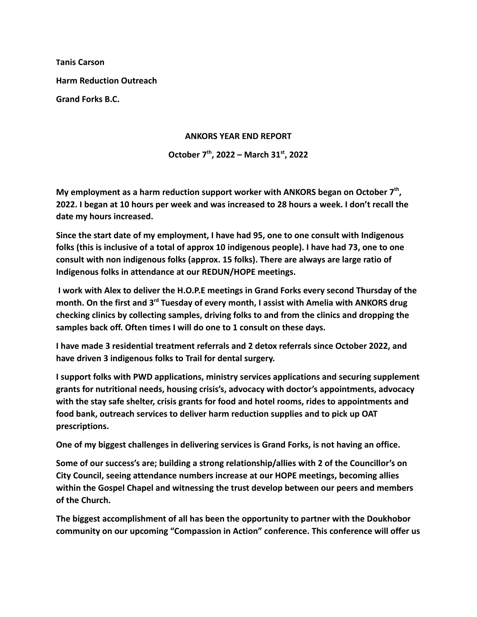**Tanis Carson Harm Reduction Outreach Grand Forks B.C.**

## **ANKORS YEAR END REPORT**

## **October 7th , 2022 – March 31st , 2022**

**My employment as a harm reduction support worker with ANKORS began on October 7th , 2022. I began at 10 hours per week and was increased to 28 hours a week. I don't recall the date my hours increased.**

**Since the start date of my employment, I have had 95, one to one consult with Indigenous folks (this is inclusive of a total of approx 10 indigenous people). I have had 73, one to one consult with non indigenous folks (approx. 15 folks). There are always are large ratio of Indigenous folks in attendance at our REDUN/HOPE meetings.**

**I work with Alex to deliver the H.O.P.E meetings in Grand Forks every second Thursday of the month. On the first and 3rd Tuesday of every month, I assist with Amelia with ANKORS drug checking clinics by collecting samples, driving folks to and from the clinics and dropping the samples back off. Often times I will do one to 1 consult on these days.**

**I have made 3 residential treatment referrals and 2 detox referrals since October 2022, and have driven 3 indigenous folks to Trail for dental surgery.**

**I support folks with PWD applications, ministry services applications and securing supplement grants for nutritional needs, housing crisis's, advocacy with doctor's appointments, advocacy with the stay safe shelter, crisis grants for food and hotel rooms, rides to appointments and food bank, outreach services to deliver harm reduction supplies and to pick up OAT prescriptions.**

**One of my biggest challenges in delivering services is Grand Forks, is not having an office.**

**Some of our success's are; building a strong relationship/allies with 2 of the Councillor's on City Council, seeing attendance numbers increase at our HOPE meetings, becoming allies within the Gospel Chapel and witnessing the trust develop between our peers and members of the Church.**

**The biggest accomplishment of all has been the opportunity to partner with the Doukhobor community on our upcoming "Compassion in Action" conference. This conference will offer us**